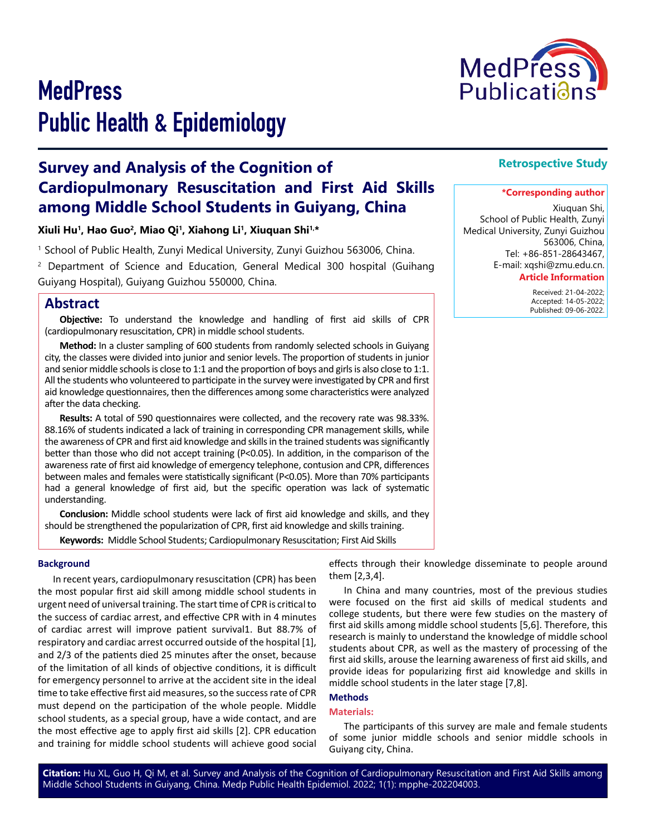

# **MedPress** Public Health & Epidemiology

## **Survey and Analysis of the Cognition of Cardiopulmonary Resuscitation and First Aid Skills among Middle School Students in Guiyang, China**

**Xiuli Hu1, Hao Guo2, Miao Qi1, Xiahong Li1, Xiuquan Shi1,\***

1 School of Public Health, Zunyi Medical University, Zunyi Guizhou 563006, China.

<sup>2</sup> Department of Science and Education, General Medical 300 hospital (Guihang Guiyang Hospital), Guiyang Guizhou 550000, China.

## **Abstract**

**Objective:** To understand the knowledge and handling of first aid skills of CPR (cardiopulmonary resuscitation, CPR) in middle school students.

**Method:** In a cluster sampling of 600 students from randomly selected schools in Guiyang city, the classes were divided into junior and senior levels. The proportion of students in junior and senior middle schools is close to 1:1 and the proportion of boys and girls is also close to 1:1. All the students who volunteered to participate in the survey were investigated by CPR and first aid knowledge questionnaires, then the differences among some characteristics were analyzed after the data checking.

**Results:** A total of 590 questionnaires were collected, and the recovery rate was 98.33%. 88.16% of students indicated a lack of training in corresponding CPR management skills, while the awareness of CPR and first aid knowledge and skills in the trained students was significantly better than those who did not accept training (P<0.05). In addition, in the comparison of the awareness rate of first aid knowledge of emergency telephone, contusion and CPR, differences between males and females were statistically significant (P<0.05). More than 70% participants had a general knowledge of first aid, but the specific operation was lack of systematic understanding.

**Conclusion:** Middle school students were lack of first aid knowledge and skills, and they should be strengthened the popularization of CPR, first aid knowledge and skills training.

**Keywords:** Middle School Students; Cardiopulmonary Resuscitation; First Aid Skills

#### **Background**

In recent years, cardiopulmonary resuscitation (CPR) has been the most popular first aid skill among middle school students in urgent need of universal training. The start time of CPR is critical to the success of cardiac arrest, and effective CPR with in 4 minutes of cardiac arrest will improve patient survival1. But 88.7% of respiratory and cardiac arrest occurred outside of the hospital [1], and 2/3 of the patients died 25 minutes after the onset, because of the limitation of all kinds of objective conditions, it is difficult for emergency personnel to arrive at the accident site in the ideal time to take effective first aid measures, so the success rate of CPR must depend on the participation of the whole people. Middle school students, as a special group, have a wide contact, and are the most effective age to apply first aid skills [2]. CPR education and training for middle school students will achieve good social

effects through their knowledge disseminate to people around them [2,3,4].

In China and many countries, most of the previous studies were focused on the first aid skills of medical students and college students, but there were few studies on the mastery of first aid skills among middle school students [5,6]. Therefore, this research is mainly to understand the knowledge of middle school students about CPR, as well as the mastery of processing of the first aid skills, arouse the learning awareness of first aid skills, and provide ideas for popularizing first aid knowledge and skills in middle school students in the later stage [7,8].

### **Methods**

#### **Materials:**

The participants of this survey are male and female students of some junior middle schools and senior middle schools in Guiyang city, China.

**Citation:** Hu XL, Guo H, Qi M, et al. Survey and Analysis of the Cognition of Cardiopulmonary Resuscitation and First Aid Skills among Middle School Students in Guiyang, China. Medp Public Health Epidemiol. 2022; 1(1): mpphe-202204003.

## **Retrospective Study**

#### **\*Corresponding author**

Xiuquan Shi, School of Public Health, Zunyi Medical University, Zunyi Guizhou 563006, China, Tel: +86-851-28643467, E-mail: xqshi@zmu.edu.cn.

#### **Article Information**

 Received: 21-04-2022; Accepted: 14-05-2022; Published: 09-06-2022.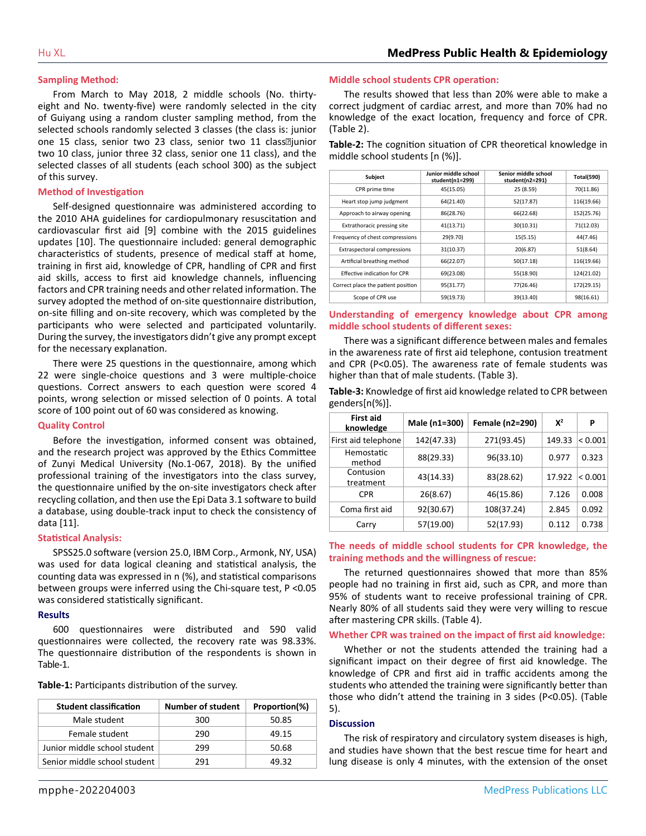#### **Sampling Method:**

From March to May 2018, 2 middle schools (No. thirtyeight and No. twenty-five) were randomly selected in the city of Guiyang using a random cluster sampling method, from the selected schools randomly selected 3 classes (the class is: junior one 15 class, senior two 23 class, senior two 11 class<br>
laion two 10 class, junior three 32 class, senior one 11 class), and the selected classes of all students (each school 300) as the subject of this survey.

#### **Method of Investigation**

Self-designed questionnaire was administered according to the 2010 AHA guidelines for cardiopulmonary resuscitation and cardiovascular first aid [9] combine with the 2015 guidelines updates [10]. The questionnaire included: general demographic characteristics of students, presence of medical staff at home, training in first aid, knowledge of CPR, handling of CPR and first aid skills, access to first aid knowledge channels, influencing factors and CPR training needs and other related information. The survey adopted the method of on-site questionnaire distribution, on-site filling and on-site recovery, which was completed by the participants who were selected and participated voluntarily. During the survey, the investigators didn't give any prompt except for the necessary explanation.

There were 25 questions in the questionnaire, among which 22 were single-choice questions and 3 were multiple-choice questions. Correct answers to each question were scored 4 points, wrong selection or missed selection of 0 points. A total score of 100 point out of 60 was considered as knowing.

#### **Quality Control**

Before the investigation, informed consent was obtained, and the research project was approved by the Ethics Committee of Zunyi Medical University (No.1-067, 2018). By the unified professional training of the investigators into the class survey, the questionnaire unified by the on-site investigators check after recycling collation, and then use the Epi Data 3.1 software to build a database, using double-track input to check the consistency of data [11].

#### **Statistical Analysis:**

SPSS25.0 software (version 25.0, IBM Corp., Armonk, NY, USA) was used for data logical cleaning and statistical analysis, the counting data was expressed in n (%), and statistical comparisons between groups were inferred using the Chi-square test, P <0.05 was considered statistically significant.

#### **Results**

600 questionnaires were distributed and 590 valid questionnaires were collected, the recovery rate was 98.33%. The questionnaire distribution of the respondents is shown in Table-1.

| <b>Student classification</b> | <b>Number of student</b> | Proportion(%) |
|-------------------------------|--------------------------|---------------|
| Male student                  | 300                      | 50.85         |
| Female student                | 290                      | 49.15         |
| Junior middle school student  | 299                      | 50.68         |
| Senior middle school student  | 291                      | 49.32         |

#### **Middle school students CPR operation:**

The results showed that less than 20% were able to make a correct judgment of cardiac arrest, and more than 70% had no knowledge of the exact location, frequency and force of CPR. (Table 2).

**Table-2:** The cognition situation of CPR theoretical knowledge in middle school students [n (%)].

| <b>Subject</b>                     | Junior middle school<br>student(n1=299) | Senior middle school<br>student(n2=291) | <b>Total(590)</b> |
|------------------------------------|-----------------------------------------|-----------------------------------------|-------------------|
| CPR prime time                     | 45(15.05)                               | 25 (8.59)                               | 70(11.86)         |
| Heart stop jump judgment           | 64(21.40)                               | 52(17.87)                               | 116(19.66)        |
| Approach to airway opening         | 86(28.76)                               | 66(22.68)                               | 152(25.76)        |
| Extrathoracic pressing site        | 41(13.71)                               | 30(10.31)                               | 71(12.03)         |
| Frequency of chest compressions    | 29(9.70)                                | 15(5.15)                                | 44(7.46)          |
| <b>Extraspectoral compressions</b> | 31(10.37)                               | 20(6.87)                                | 51(8.64)          |
| Artificial breathing method        | 66(22.07)                               | 50(17.18)                               | 116(19.66)        |
| Effective indication for CPR       | 69(23.08)                               | 55(18.90)                               | 124(21.02)        |
| Correct place the patient position | 95(31.77)                               | 77(26.46)                               | 172(29.15)        |
| Scope of CPR use                   | 59(19.73)                               | 39(13.40)                               | 98(16.61)         |

#### **Understanding of emergency knowledge about CPR among middle school students of different sexes:**

There was a significant difference between males and females in the awareness rate of first aid telephone, contusion treatment and CPR (P<0.05). The awareness rate of female students was higher than that of male students. (Table 3).

**Table-3:** Knowledge of first aid knowledge related to CPR between genders[n(%)].

| <b>First aid</b><br>knowledge | Male (n1=300) | Female (n2=290) | $X^2$  | P       |
|-------------------------------|---------------|-----------------|--------|---------|
| First aid telephone           | 142(47.33)    | 271(93.45)      | 149.33 | < 0.001 |
| Hemostatic<br>method          | 88(29.33)     | 96(33.10)       | 0.977  | 0.323   |
| Contusion<br>treatment        | 43(14.33)     | 83(28.62)       | 17.922 | < 0.001 |
| <b>CPR</b>                    | 26(8.67)      | 46(15.86)       | 7.126  | 0.008   |
| Coma first aid                | 92(30.67)     | 108(37.24)      | 2.845  | 0.092   |
| Carry                         | 57(19.00)     | 52(17.93)       | 0.112  | 0.738   |

#### **The needs of middle school students for CPR knowledge, the training methods and the willingness of rescue:**

The returned questionnaires showed that more than 85% people had no training in first aid, such as CPR, and more than 95% of students want to receive professional training of CPR. Nearly 80% of all students said they were very willing to rescue after mastering CPR skills. (Table 4).

#### **Whether CPR was trained on the impact of first aid knowledge:**

Whether or not the students attended the training had a significant impact on their degree of first aid knowledge. The knowledge of CPR and first aid in traffic accidents among the students who attended the training were significantly better than those who didn't attend the training in 3 sides (P<0.05). (Table 5).

#### **Discussion**

The risk of respiratory and circulatory system diseases is high, and studies have shown that the best rescue time for heart and lung disease is only 4 minutes, with the extension of the onset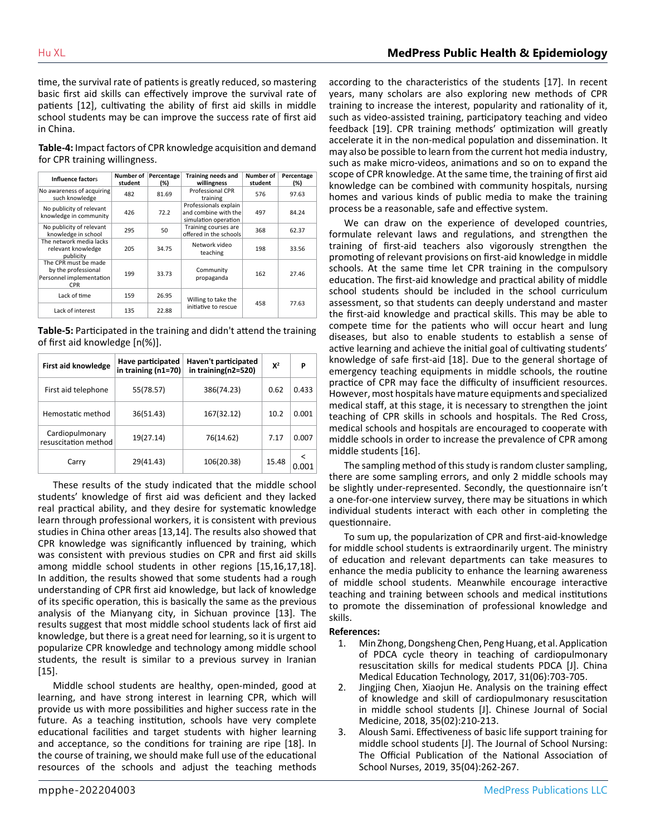time, the survival rate of patients is greatly reduced, so mastering basic first aid skills can effectively improve the survival rate of patients [12], cultivating the ability of first aid skills in middle school students may be can improve the success rate of first aid in China.

**Table-4:** Impact factors of CPR knowledge acquisition and demand for CPR training willingness.

| Influence factors                                                                     | Number of<br>student | Percentage<br>(%) | <b>Training needs and</b><br>willingness                              | Number of<br>student | Percentage<br>(%) |
|---------------------------------------------------------------------------------------|----------------------|-------------------|-----------------------------------------------------------------------|----------------------|-------------------|
| No awareness of acquiring<br>such knowledge                                           | 482                  | 81.69             | <b>Professional CPR</b><br>training                                   | 576                  | 97.63             |
| No publicity of relevant<br>knowledge in community                                    | 426                  | 72.2              | Professionals explain<br>and combine with the<br>simulation operation | 497                  | 84.24             |
| No publicity of relevant<br>knowledge in school                                       | 295                  | 50                | Training courses are<br>offered in the schools                        | 368                  | 62.37             |
| The network media lacks<br>relevant knowledge<br>publicity                            | 205                  | 34.75             | Network video<br>teaching                                             | 198                  | 33.56             |
| The CPR must be made<br>by the professional<br>Personnel implementation<br><b>CPR</b> | 199                  | 33.73             | Community<br>propaganda                                               | 162                  | 27.46             |
| Lack of time                                                                          | 159                  | 26.95             | Willing to take the<br>initiative to rescue                           | 458                  | 77.63             |
| Lack of interest                                                                      | 135                  | 22.88             |                                                                       |                      |                   |

**Table-5:** Participated in the training and didn't attend the training of first aid knowledge [n(%)].

| First aid knowledge                     | Have participated<br>in training $(n1=70)$ | Haven't participated<br>in training( $n2=520$ ) | $X^2$ | P     |
|-----------------------------------------|--------------------------------------------|-------------------------------------------------|-------|-------|
| First aid telephone                     | 55(78.57)                                  | 386(74.23)                                      | 0.62  | 0.433 |
| Hemostatic method                       | 36(51.43)                                  | 167(32.12)                                      | 10.2  | 0.001 |
| Cardiopulmonary<br>resuscitation method | 19(27.14)                                  | 76(14.62)                                       | 7.17  | 0.007 |
| Carry                                   | 29(41.43)                                  | 106(20.38)                                      | 15.48 |       |

These results of the study indicated that the middle school students' knowledge of first aid was deficient and they lacked real practical ability, and they desire for systematic knowledge learn through professional workers, it is consistent with previous studies in China other areas [13,14]. The results also showed that CPR knowledge was significantly influenced by training, which was consistent with previous studies on CPR and first aid skills among middle school students in other regions [15,16,17,18]. In addition, the results showed that some students had a rough understanding of CPR first aid knowledge, but lack of knowledge of its specific operation, this is basically the same as the previous analysis of the Mianyang city, in Sichuan province [13]. The results suggest that most middle school students lack of first aid knowledge, but there is a great need for learning, so it is urgent to popularize CPR knowledge and technology among middle school students, the result is similar to a previous survey in Iranian [15].

Middle school students are healthy, open-minded, good at learning, and have strong interest in learning CPR, which will provide us with more possibilities and higher success rate in the future. As a teaching institution, schools have very complete educational facilities and target students with higher learning and acceptance, so the conditions for training are ripe [18]. In the course of training, we should make full use of the educational resources of the schools and adjust the teaching methods

according to the characteristics of the students [17]. In recent years, many scholars are also exploring new methods of CPR training to increase the interest, popularity and rationality of it, such as video-assisted training, participatory teaching and video feedback [19]. CPR training methods' optimization will greatly accelerate it in the non-medical population and dissemination. It may also be possible to learn from the current hot media industry, such as make micro-videos, animations and so on to expand the scope of CPR knowledge. At the same time, the training of first aid knowledge can be combined with community hospitals, nursing homes and various kinds of public media to make the training process be a reasonable, safe and effective system.

We can draw on the experience of developed countries, formulate relevant laws and regulations, and strengthen the training of first-aid teachers also vigorously strengthen the promoting of relevant provisions on first-aid knowledge in middle schools. At the same time let CPR training in the compulsory education. The first-aid knowledge and practical ability of middle school students should be included in the school curriculum assessment, so that students can deeply understand and master the first-aid knowledge and practical skills. This may be able to compete time for the patients who will occur heart and lung diseases, but also to enable students to establish a sense of active learning and achieve the initial goal of cultivating students' knowledge of safe first-aid [18]. Due to the general shortage of emergency teaching equipments in middle schools, the routine practice of CPR may face the difficulty of insufficient resources. However, most hospitals have mature equipments and specialized medical staff, at this stage, it is necessary to strengthen the joint teaching of CPR skills in schools and hospitals. The Red Cross, medical schools and hospitals are encouraged to cooperate with middle schools in order to increase the prevalence of CPR among middle students [16].

The sampling method of this study is random cluster sampling, there are some sampling errors, and only 2 middle schools may be slightly under-represented. Secondly, the questionnaire isn't a one-for-one interview survey, there may be situations in which individual students interact with each other in completing the questionnaire.

To sum up, the popularization of CPR and first-aid-knowledge for middle school students is extraordinarily urgent. The ministry of education and relevant departments can take measures to enhance the media publicity to enhance the learning awareness of middle school students. Meanwhile encourage interactive teaching and training between schools and medical institutions to promote the dissemination of professional knowledge and skills.

#### **References:**

- 1. Min Zhong, Dongsheng Chen, Peng Huang, et al. Application of PDCA cycle theory in teaching of cardiopulmonary resuscitation skills for medical students PDCA [J]. China Medical Education Technology, 2017, 31(06):703-705.
- 2. Jingjing Chen, Xiaojun He. Analysis on the training effect of knowledge and skill of cardiopulmonary resuscitation in middle school students [J]. Chinese Journal of Social Medicine, 2018, 35(02):210-213.
- 3. [Aloush Sami. Effectiveness of basic life support training for](https://pubmed.ncbi.nlm.nih.gov/29361872/)  [middle school students \[J\]. The Journal of School Nursing:](https://pubmed.ncbi.nlm.nih.gov/29361872/)  [The Official Publication of the National Association of](https://pubmed.ncbi.nlm.nih.gov/29361872/)  [School Nurses, 2019, 35\(04\):262-267.](https://pubmed.ncbi.nlm.nih.gov/29361872/)